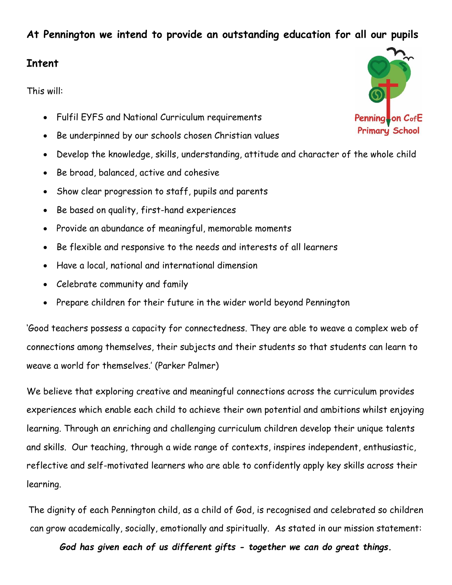# **At Pennington we intend to provide an outstanding education for all our pupils**

#### **Intent**

This will:

- Fulfil EYFS and National Curriculum requirements
- Be underpinned by our schools chosen Christian values
- Develop the knowledge, skills, understanding, attitude and character of the whole child
- Be broad, balanced, active and cohesive
- Show clear progression to staff, pupils and parents
- Be based on quality, first-hand experiences
- Provide an abundance of meaningful, memorable moments
- Be flexible and responsive to the needs and interests of all learners
- Have a local, national and international dimension
- Celebrate community and family
- Prepare children for their future in the wider world beyond Pennington

'Good teachers possess a capacity for connectedness. They are able to weave a complex web of connections among themselves, their subjects and their students so that students can learn to weave a world for themselves.' (Parker Palmer)

We believe that exploring creative and meaningful connections across the curriculum provides experiences which enable each child to achieve their own potential and ambitions whilst enjoying learning. Through an enriching and challenging curriculum children develop their unique talents and skills. Our teaching, through a wide range of contexts, inspires independent, enthusiastic, reflective and self-motivated learners who are able to confidently apply key skills across their learning.

The dignity of each Pennington child, as a child of God, is recognised and celebrated so children can grow academically, socially, emotionally and spiritually. As stated in our mission statement:

*God has given each of us different gifts - together we can do great things.*

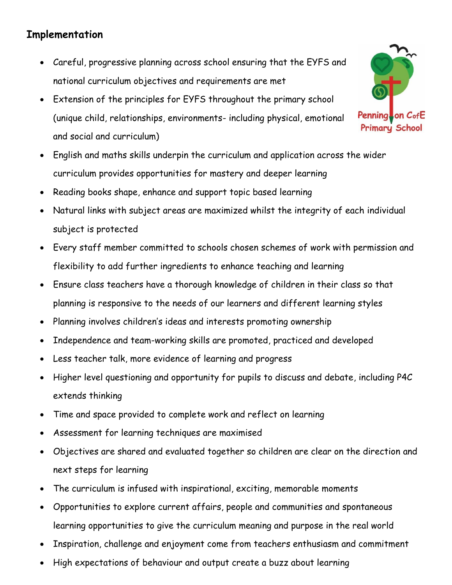# **Implementation**

- Careful, progressive planning across school ensuring that the EYFS and national curriculum objectives and requirements are met
- Extension of the principles for EYFS throughout the primary school (unique child, relationships, environments- including physical, emotional and social and curriculum)
- English and maths skills underpin the curriculum and application across the wider curriculum provides opportunities for mastery and deeper learning
- Reading books shape, enhance and support topic based learning
- Natural links with subject areas are maximized whilst the integrity of each individual subject is protected
- Every staff member committed to schools chosen schemes of work with permission and flexibility to add further ingredients to enhance teaching and learning
- Ensure class teachers have a thorough knowledge of children in their class so that planning is responsive to the needs of our learners and different learning styles
- Planning involves children's ideas and interests promoting ownership
- Independence and team-working skills are promoted, practiced and developed
- Less teacher talk, more evidence of learning and progress
- Higher level questioning and opportunity for pupils to discuss and debate, including P4C extends thinking
- Time and space provided to complete work and reflect on learning
- Assessment for learning techniques are maximised
- Objectives are shared and evaluated together so children are clear on the direction and next steps for learning
- The curriculum is infused with inspirational, exciting, memorable moments
- Opportunities to explore current affairs, people and communities and spontaneous learning opportunities to give the curriculum meaning and purpose in the real world
- Inspiration, challenge and enjoyment come from teachers enthusiasm and commitment
- High expectations of behaviour and output create a buzz about learning

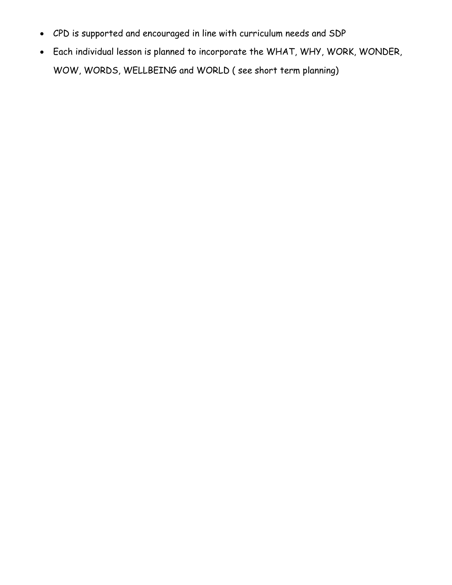- CPD is supported and encouraged in line with curriculum needs and SDP
- Each individual lesson is planned to incorporate the WHAT, WHY, WORK, WONDER, WOW, WORDS, WELLBEING and WORLD ( see short term planning)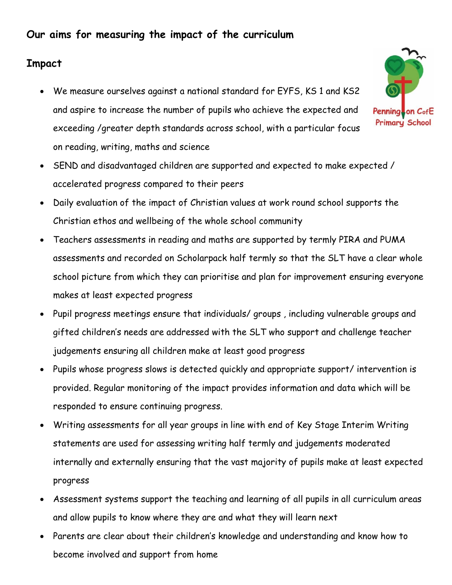# **Our aims for measuring the impact of the curriculum**

# **Impact**

 We measure ourselves against a national standard for EYFS, KS 1 and KS2 and aspire to increase the number of pupils who achieve the expected and exceeding /greater depth standards across school, with a particular focus on reading, writing, maths and science



- SEND and disadvantaged children are supported and expected to make expected / accelerated progress compared to their peers
- Daily evaluation of the impact of Christian values at work round school supports the Christian ethos and wellbeing of the whole school community
- Teachers assessments in reading and maths are supported by termly PIRA and PUMA assessments and recorded on Scholarpack half termly so that the SLT have a clear whole school picture from which they can prioritise and plan for improvement ensuring everyone makes at least expected progress
- Pupil progress meetings ensure that individuals/ groups , including vulnerable groups and gifted children's needs are addressed with the SLT who support and challenge teacher judgements ensuring all children make at least good progress
- Pupils whose progress slows is detected quickly and appropriate support/ intervention is provided. Regular monitoring of the impact provides information and data which will be responded to ensure continuing progress.
- Writing assessments for all year groups in line with end of Key Stage Interim Writing statements are used for assessing writing half termly and judgements moderated internally and externally ensuring that the vast majority of pupils make at least expected progress
- Assessment systems support the teaching and learning of all pupils in all curriculum areas and allow pupils to know where they are and what they will learn next
- Parents are clear about their children's knowledge and understanding and know how to become involved and support from home